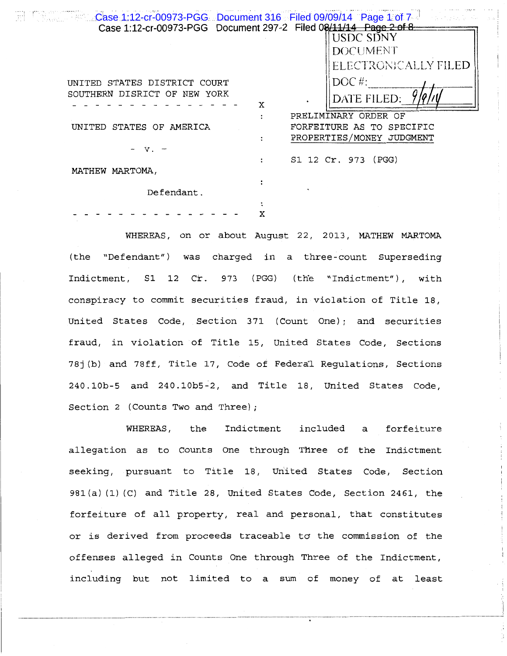| $\blacksquare$ $\blacksquare$ $\blacksquare$ $\blacksquare$ $\blacksquare$ $\blacksquare$ $\blacksquare$ $\blacksquare$ $\blacksquare$ $\blacksquare$ $\blacksquare$ $\blacksquare$ $\blacksquare$ $\blacksquare$ $\blacksquare$ $\blacksquare$ $\blacksquare$ $\blacksquare$ $\blacksquare$ $\blacksquare$ $\blacksquare$ $\blacksquare$ $\blacksquare$ $\blacksquare$ $\blacksquare$ $\blacksquare$ $\blacksquare$ $\blacksquare$ $\blacksquare$ $\blacksquare$ $\blacksquare$ $\blacks$<br>로 | Case 1:12-cr-00973-PGG Document 297-2 Filed 08/11/14 Page 2 of 8 |  |
|-------------------------------------------------------------------------------------------------------------------------------------------------------------------------------------------------------------------------------------------------------------------------------------------------------------------------------------------------------------------------------------------------------------------------------------------------------------------------------------------------|------------------------------------------------------------------|--|
|                                                                                                                                                                                                                                                                                                                                                                                                                                                                                                 | USDC SDNY                                                        |  |
|                                                                                                                                                                                                                                                                                                                                                                                                                                                                                                 | DOCUMENT                                                         |  |
|                                                                                                                                                                                                                                                                                                                                                                                                                                                                                                 | ELECTRONICALLY FILED                                             |  |
| UNITED STATES DISTRICT COURT                                                                                                                                                                                                                                                                                                                                                                                                                                                                    | $DOC$ #:                                                         |  |
| SOUTHERN DISRICT OF NEW YORK                                                                                                                                                                                                                                                                                                                                                                                                                                                                    | DATE FILED:<br>X                                                 |  |
|                                                                                                                                                                                                                                                                                                                                                                                                                                                                                                 | PRELIMINARY ORDER OF                                             |  |
| UNITED<br>STATES OF AMERICA                                                                                                                                                                                                                                                                                                                                                                                                                                                                     | FORFEITURE AS TO SPECIFIC                                        |  |
|                                                                                                                                                                                                                                                                                                                                                                                                                                                                                                 | PROPERTIES/MONEY JUDGMENT                                        |  |
|                                                                                                                                                                                                                                                                                                                                                                                                                                                                                                 | S1 12 Cr. 973 (PGG)                                              |  |
| MATHEW MARTOMA,                                                                                                                                                                                                                                                                                                                                                                                                                                                                                 |                                                                  |  |
|                                                                                                                                                                                                                                                                                                                                                                                                                                                                                                 |                                                                  |  |
| Defendant.                                                                                                                                                                                                                                                                                                                                                                                                                                                                                      |                                                                  |  |
|                                                                                                                                                                                                                                                                                                                                                                                                                                                                                                 |                                                                  |  |
|                                                                                                                                                                                                                                                                                                                                                                                                                                                                                                 |                                                                  |  |

WHEREAS, on or about August 22, 2013, MATHEW MARTOMA (the "Defendant") was charged in a three-count Superseding Indictment, S1 12 Cr. 973 (PGG) (the "Indictment"), with conspiracy to commit securities fraud, in violation of Title 18, United States Code, Section 371 (Count One); and securities fraud, in violation of Title 15, United States Code, Sections 78j (b) and 78ff, Title 17, Code of Federal Regulations, Sections 240.lOb-5 and 240.10b5-2, and Title 18, United States Code, Section 2 (Counts Two and Three) ;

WHEREAS, the Indictment included a forfeiture allegation as to Counts One through Three of the Indictment seeking, pursuant to Title 18, United States Code, Section 981 (a) (1) (C) and Title 28, United States Code, Section 2461, the forfeiture of all property, real and personal, that constitutes or is derived from proceeds traceable ta the commission of the offenses alleged in Counts One through Three of the Indictment, including but not limited to a sum of money of at least

···-·-··-··-···-·-----·-·--··--·--···-··--··---····--·--·----···-··---·-··-···--··-··-·····- -·-·-···-···-···- - --- - - ---------- - -- ------- -- - ------- - --- -- -- - -- --- ------------- - - ---- ----- ------ - -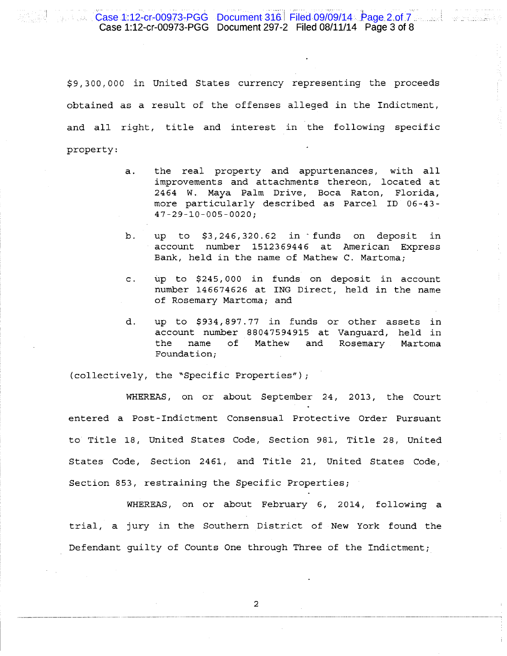\$9, 300, 000 in United States currency representing the proceeds obtained as a result of the offenses alleged in the Indictment, and all right, title and interest in the following specific property:

- a. the real property and appurtenances, with all improvements and attachments thereon, located at 2464 W. Maya Palm Drive, Boca Raton, Florida, more particularly described as Parcel ID 06-43- 47-29-10-005-0020;
- b. up to \$3,246,320.62 in ·funds on deposit in account number 1512369446 at American Express Bank, held in the name of Mathew C. Martoma;
- c. up to \$245, 000 in funds on deposit in account number 146674626 at ING Direct, held in the name of Rosemary Martoma; and
- d. up to \$934, 897. 77 in funds or other assets in account number 88047594915 at Vanguard, held in the name of Mathew and Rosemary Martoma Foundation;

(collectively, the "Specific Properties");

.,

WHEREAS, on or about September 24, 2013, the Court entered a Post-Indictment Consensual Protective Order Pursuant to Title 18, United States Code, Section 981, Title 28, United States Code, Section 2461, and Title 21, United States Code, Section 853, restraining the Specific Properties;

WHEREAS, on or about February 6, 2014, following a trial, a jury in the Southern District of New York found the Defendant guilty of Counts One through Three of the Indictment;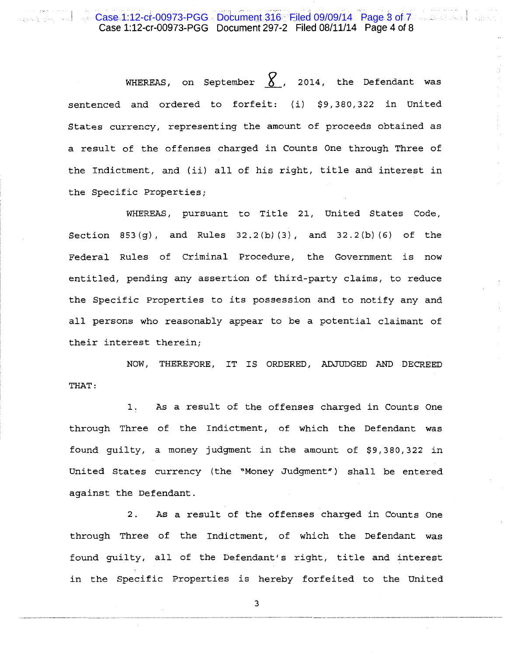## i ! Case 1:12-cr-00973-PGG Document 297-2 Filed 08/11/14 Page 4 of 8 Case 1:12-cr-00973-PGG Document 316 Filed 09/09/14 Page 3 of 7

WHEREAS, on September  $\chi$ , 2014, the Defendant was sentenced and ordered to forfeit: (i) \$9,380,322 in United States currency, representing the amount of proceeds obtained as a result of the offenses charged in Counts One through Three of the Indictment, and (ii) all of his right, title and interest in the Specific Properties;

WHEREAS, pursuant to Title 21, United States Code, Section 853(g), and Rules 32.2(b) (3), and 32.2(b) (6) of the Federal Rules of Criminal Procedure, the Government is now entitled, pending any assertion of third-party claims, to reduce the Specific Properties to its possession and to notify any and all persons who reasonably appear to be a potential claimant of their interest therein;

NOW, THEREFORE, IT IS ORDERED, ADJUDGED AND DECREED THAT:

1. As a result of the offenses charged in Counts One through Three of the Indictment, of which the Defendant was found guilty, a money judgment in the amount of \$9, 380, 322 in United States currency (the "Money Judgment") shall be entered against the Defendant.

2. As a result of the offenses charged in Counts One through Three of the Indictment, of which the Defendant was found guilty, all of the Defendant's right, title and interest in the Specific Properties is hereby forfeited to the United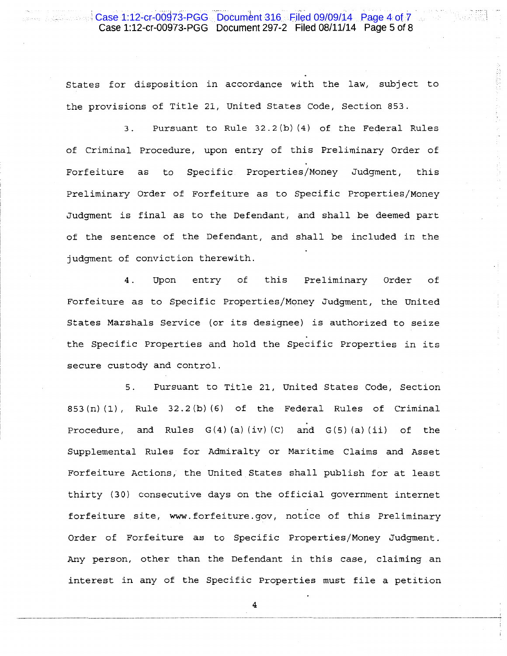## case 1.12-cr-00973-RGG Document 316. Filed 09/09/14 Page 4 0FV<br>Case 1:12-cr-00973-PGG Document 297-2 Filed 08/11/14 Page 5 of 8 Case 1:12-cr-00973-PGG Document 316 Filed 09/09/14 Page 4 of 7

, . ~ ." . I :- .

States for disposition in accordance with the law, subject to the provisions of Title 21, United States Code, Section 853.

3. Pursuant to Rule 32.2(b) (4) of the Federal Rules of Criminal Procedure, upon entry of this Preliminary Order of Forfeiture as to Specific Properties/Money Judgment, this Preliminary Order of Forfeiture as to Specific Properties/Money Judgment is final as to the Defendant, and shall be deemed part of the sentence of the Defendant, and shall be included in the judgment of conviction therewith.

4. Upon entry of this Preliminary Order of Forfeiture as to Specific Properties/Money Judgment, the United States Marshals Service (or its designee) is authorized to seize the Specific Properties and hold the Specific Properties in its secure custody and control.

5. Pursuant to Title 21, United States Code, Section  $853(n)(1)$ , Rule  $32.2(b)(6)$  of the Federal Rules of Criminal Procedure, and Rules  $G(4)$  (a) (iv) (C) and  $G(5)$  (a) (ii) of the Supplemental Rules for Admiralty or Maritime Claims and Asset Forfeiture Actions, the United States shall publish for at least thirty (30) consecutive days on the official government internet forfeiture site, www. forfeiture. gov, notice of this Preliminary Order of Forfeiture as to Specific Properties/Money Judgment. Any person, other than the Defendant in this case, claiming an interest in any of the Specific Properties must file a petition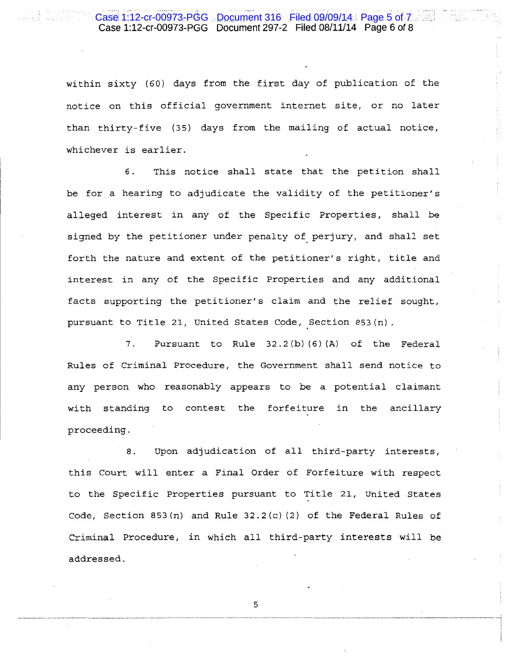## ment 316 . Filed 09/09/14 Case 1:12-cr-00973-PGG Document 297-2 Filed 08/11/14 Page 6 of 8 Case 1:12-cr-00973-PGG Document 316 Filed 09/09/14 Page 5 of 7

within sixty (60) days from the first day of publication of the notice on this official government internet site, or no later than thirty-five (35) days from the mailing of actual notice, whichever is earlier.

6. This notice shall state that the petition shall be for a hearing to adjudicate the validity of the petitioner's alleged interest in any of the Specific Properties, shall be signed by the petitioner under penalty of perjury, and shall set forth the nature and extent of the petitioner's right, title and interest in any of the Specific Properties and any additional facts supporting the petitioner's claim and the relief sought, pursuant to Title 21, United States Code, Section 853(n}.

7. Pursuant to Rule 32.2(b) (6) (A) of the Federal Rules of Criminal Procedure, the Government shall send notice to any person who reasonably appears to be a potential claimant with standing to contest the forfeiture in the ancillary proceeding.

8. Upon adjudication of all third-party interests, this Court will enter a Final Order of Forfeiture with respect to the Specific Properties pursuant to Title 21, United States Code, Section 853(n) and Rule 32.2(c) (2) of the Federal Rules of Criminal Procedure, in which all third-party interests will be addressed.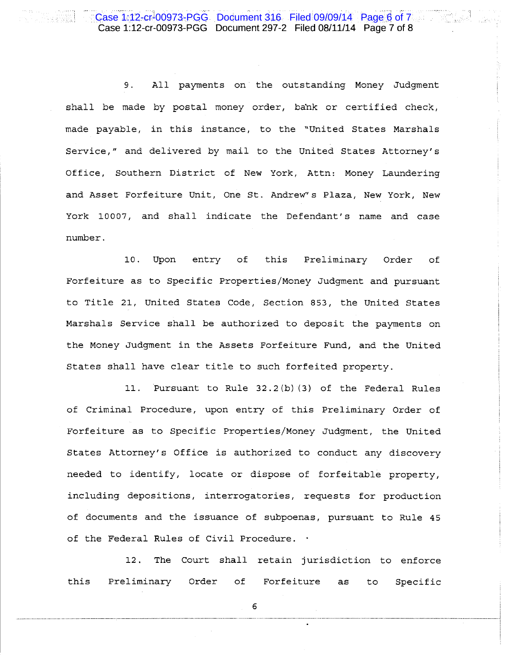9. All payments on the outstanding Money Judgment shall be made by postal money order, bank or certified check, made payable, in this instance, to the "United States Marshals Service," and delivered by mail to the United States Attorney's Office, Southern District of New York, Attn: Money Laundering and Asset Forfeiture Unit, One St. Andrew's Plaza, New York, New York 10007, and shall indicate the Defendant's name and case number.

10. Upon entry of this Preliminary Order of Forfeiture as to Specific Properties/Money Judgment and pursuant to Title 21, United States Code, Section 853, the United States Marshals Service shall be authorized to deposit the payments on the Money Judgment in the Assets Forfeiture Fund, and the United States shall have clear title to such forfeited property.

11. Pursuant to Rule  $32.2(b)(3)$  of the Federal Rules of Criminal Procedure, upon entry of this Preliminary Order of Forfeiture as to Specific Properties/Money Judgment, the United States Attorney's Office is authorized to conduct any discovery needed to identify, locate or dispose of forfeitable property, including depositions, interrogatories, requests for production of documents and the issuance of subpoenas, pursuant to Rule 45 of the Federal Rules of Civil Procedure.

12. The Court shall retain jurisdiction to enforce this Preliminary Order of Forfeiture as to Specific